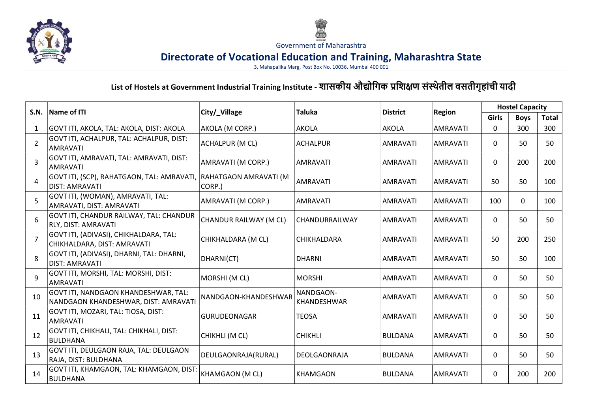



Government of Maharashtra

## Directorate of Vocational Education and Training, Maharashtra State

3, Mahapalika Marg, Post Box No. 10036, Mumbai 400 001

## List of Hostels at Government Industrial Training Institute - शासकीय औद्योगिक प्रशिक्षण संस्थेतील वसतीगृहांची यादी

| S.N.           | <b>Name of ITI</b>                                                                 | City/_Village          | Taluka                   | <b>District</b> | <b>Region</b>   | <b>Hostel Capacity</b> |             |              |
|----------------|------------------------------------------------------------------------------------|------------------------|--------------------------|-----------------|-----------------|------------------------|-------------|--------------|
|                |                                                                                    |                        |                          |                 |                 | Girls                  | <b>Boys</b> | <b>Total</b> |
| 1              | GOVT ITI, AKOLA, TAL: AKOLA, DIST: AKOLA                                           | AKOLA (M CORP.)        | <b>AKOLA</b>             | <b>AKOLA</b>    | <b>AMRAVATI</b> | 0                      | 300         | 300          |
| $\overline{2}$ | GOVT ITI, ACHALPUR, TAL: ACHALPUR, DIST:<br><b>AMRAVATI</b>                        | <b>ACHALPUR (M CL)</b> | <b>ACHALPUR</b>          | AMRAVATI        | <b>AMRAVATI</b> | $\Omega$               | 50          | 50           |
| 3              | GOVT ITI, AMRAVATI, TAL: AMRAVATI, DIST:<br><b>AMRAVATI</b>                        | AMRAVATI (M CORP.)     | <b>AMRAVATI</b>          | AMRAVATI        | <b>AMRAVATI</b> | $\Omega$               | 200         | 200          |
| $\overline{4}$ | GOVT ITI, (SCP), RAHATGAON, TAL: AMRAVATI, RAHATGAON AMRAVATI (M<br>DIST: AMRAVATI | CORP.)                 | <b>AMRAVATI</b>          | <b>AMRAVATI</b> | <b>AMRAVATI</b> | 50                     | 50          | 100          |
| 5              | GOVT ITI, (WOMAN), AMRAVATI, TAL:<br>AMRAVATI, DIST: AMRAVATI                      | AMRAVATI (M CORP.)     | AMRAVATI                 | AMRAVATI        | AMRAVATI        | 100                    | 0           | 100          |
| 6              | GOVT ITI, CHANDUR RAILWAY, TAL: CHANDUR<br>RLY, DIST: AMRAVATI                     | CHANDUR RAILWAY (M CL) | CHANDURRAILWAY           | AMRAVATI        | AMRAVATI        | $\Omega$               | 50          | 50           |
| $\overline{7}$ | GOVT ITI, (ADIVASI), CHIKHALDARA, TAL:<br>CHIKHALDARA, DIST: AMRAVATI              | CHIKHALDARA (M CL)     | <b>CHIKHALDARA</b>       | AMRAVATI        | AMRAVATI        | 50                     | 200         | 250          |
| 8              | GOVT ITI, (ADIVASI), DHARNI, TAL: DHARNI,<br><b>DIST: AMRAVATI</b>                 | DHARNI(CT)             | <b>DHARNI</b>            | AMRAVATI        | AMRAVATI        | 50                     | 50          | 100          |
| 9              | GOVT ITI, MORSHI, TAL: MORSHI, DIST:<br><b>AMRAVATI</b>                            | MORSHI (M CL)          | <b>MORSHI</b>            | AMRAVATI        | AMRAVATI        | $\Omega$               | 50          | 50           |
| 10             | GOVT ITI, NANDGAON KHANDESHWAR, TAL:<br>NANDGAON KHANDESHWAR, DIST: AMRAVATI       | NANDGAON-KHANDESHWAR   | NANDGAON-<br>KHANDESHWAR | <b>AMRAVATI</b> | <b>AMRAVATI</b> | $\mathbf{0}$           | 50          | 50           |
| 11             | GOVT ITI, MOZARI, TAL: TIOSA, DIST:<br>AMRAVATI                                    | <b>GURUDEONAGAR</b>    | <b>TEOSA</b>             | AMRAVATI        | AMRAVATI        | $\Omega$               | 50          | 50           |
| 12             | GOVT ITI, CHIKHALI, TAL: CHIKHALI, DIST:<br><b>BULDHANA</b>                        | CHIKHLI (M CL)         | <b>CHIKHLI</b>           | BULDANA         | <b>AMRAVATI</b> | $\mathbf{0}$           | 50          | 50           |
| 13             | GOVT ITI, DEULGAON RAJA, TAL: DEULGAON<br>RAJA, DIST: BULDHANA                     | DEULGAONRAJA(RURAL)    | <b>DEOLGAONRAJA</b>      | BULDANA         | AMRAVATI        | $\Omega$               | 50          | 50           |
| 14             | GOVT ITI, KHAMGAON, TAL: KHAMGAON, DIST:<br><b>BULDHANA</b>                        | KHAMGAON (M CL)        | KHAMGAON                 | BULDANA         | IAMRAVATI       | $\Omega$               | 200         | 200          |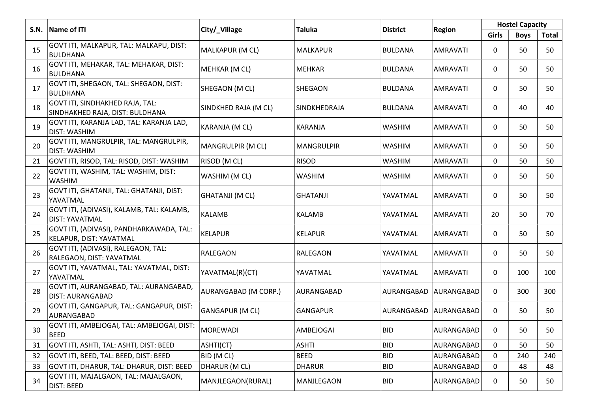|      |                                                                     |                        | Taluka            |                 |                 | <b>Hostel Capacity</b> |             |              |
|------|---------------------------------------------------------------------|------------------------|-------------------|-----------------|-----------------|------------------------|-------------|--------------|
| S.N. | Name of ITI                                                         | City/_Village          |                   | <b>District</b> | <b>Region</b>   | <b>Girls</b>           | <b>Boys</b> | <b>Total</b> |
| 15   | GOVT ITI, MALKAPUR, TAL: MALKAPU, DIST:<br><b>BULDHANA</b>          | MALKAPUR (M CL)        | <b>MALKAPUR</b>   | <b>BULDANA</b>  | AMRAVATI        | 0                      | 50          | 50           |
| 16   | GOVT ITI, MEHAKAR, TAL: MEHAKAR, DIST:<br>BULDHANA                  | MEHKAR (M CL)          | <b>MEHKAR</b>     | <b>BULDANA</b>  | AMRAVATI        | 0                      | 50          | 50           |
| 17   | GOVT ITI, SHEGAON, TAL: SHEGAON, DIST:<br><b>BULDHANA</b>           | SHEGAON (M CL)         | SHEGAON           | <b>BULDANA</b>  | AMRAVATI        | 0                      | 50          | 50           |
| 18   | GOVT ITI, SINDHAKHED RAJA, TAL:<br>SINDHAKHED RAJA, DIST: BULDHANA  | SINDKHED RAJA (M CL)   | SINDKHEDRAJA      | <b>BULDANA</b>  | AMRAVATI        | 0                      | 40          | 40           |
| 19   | GOVT ITI, KARANJA LAD, TAL: KARANJA LAD,<br><b>DIST: WASHIM</b>     | KARANJA (M CL)         | <b>KARANJA</b>    | <b>WASHIM</b>   | AMRAVATI        | 0                      | 50          | 50           |
| 20   | GOVT ITI, MANGRULPIR, TAL: MANGRULPIR,<br><b>DIST: WASHIM</b>       | MANGRULPIR (M CL)      | <b>MANGRULPIR</b> | <b>WASHIM</b>   | AMRAVATI        | 0                      | 50          | 50           |
| 21   | GOVT ITI, RISOD, TAL: RISOD, DIST: WASHIM                           | RISOD (M CL)           | <b>RISOD</b>      | <b>WASHIM</b>   | <b>AMRAVATI</b> | 0                      | 50          | 50           |
| 22   | GOVT ITI, WASHIM, TAL: WASHIM, DIST:<br><b>WASHIM</b>               | WASHIM (M CL)          | <b>WASHIM</b>     | <b>WASHIM</b>   | AMRAVATI        | 0                      | 50          | 50           |
| 23   | GOVT ITI, GHATANJI, TAL: GHATANJI, DIST:<br>YAVATMAL                | <b>GHATANJI (M CL)</b> | <b>GHATANJI</b>   | YAVATMAL        | <b>AMRAVATI</b> | 0                      | 50          | 50           |
| 24   | GOVT ITI, (ADIVASI), KALAMB, TAL: KALAMB,<br><b>DIST: YAVATMAL</b>  | <b>KALAMB</b>          | <b>KALAMB</b>     | YAVATMAL        | AMRAVATI        | 20                     | 50          | 70           |
| 25   | GOVT ITI, (ADIVASI), PANDHARKAWADA, TAL:<br>KELAPUR, DIST: YAVATMAL | <b>KELAPUR</b>         | <b>KELAPUR</b>    | YAVATMAL        | AMRAVATI        | 0                      | 50          | 50           |
| 26   | GOVT ITI, (ADIVASI), RALEGAON, TAL:<br>RALEGAON, DIST: YAVATMAL     | RALEGAON               | RALEGAON          | YAVATMAL        | <b>AMRAVATI</b> | 0                      | 50          | 50           |
| 27   | GOVT ITI, YAVATMAL, TAL: YAVATMAL, DIST:<br>YAVATMAL                | YAVATMAL(R)(CT)        | YAVATMAL          | YAVATMAL        | AMRAVATI        | 0                      | 100         | 100          |
| 28   | GOVT ITI, AURANGABAD, TAL: AURANGABAD,<br><b>DIST: AURANGABAD</b>   | AURANGABAD (M CORP.)   | AURANGABAD        | AURANGABAD      | AURANGABAD      | 0                      | 300         | 300          |
| 29   | GOVT ITI, GANGAPUR, TAL: GANGAPUR, DIST:<br>AURANGABAD              | <b>GANGAPUR (M CL)</b> | GANGAPUR          | AURANGABAD      | AURANGABAD      | 0                      | 50          | 50           |
| 30   | GOVT ITI, AMBEJOGAI, TAL: AMBEJOGAI, DIST:<br><b>BEED</b>           | <b>MOREWADI</b>        | AMBEJOGAI         | <b>BID</b>      | AURANGABAD      | 0                      | 50          | 50           |
| 31   | GOVT ITI, ASHTI, TAL: ASHTI, DIST: BEED                             | ASHTI(CT)              | <b>ASHTI</b>      | <b>BID</b>      | AURANGABAD      | 0                      | 50          | 50           |
| 32   | GOVT ITI, BEED, TAL: BEED, DIST: BEED                               | BID (M CL)             | <b>BEED</b>       | <b>BID</b>      | AURANGABAD      | $\mathbf 0$            | 240         | 240          |
| 33   | GOVT ITI, DHARUR, TAL: DHARUR, DIST: BEED                           | DHARUR (M CL)          | <b>DHARUR</b>     | <b>BID</b>      | AURANGABAD      | 0                      | 48          | 48           |
| 34   | GOVT ITI, MAJALGAON, TAL: MAJALGAON,<br><b>DIST: BEED</b>           | MANJLEGAON(RURAL)      | MANJLEGAON        | <b>BID</b>      | AURANGABAD      | 0                      | 50          | 50           |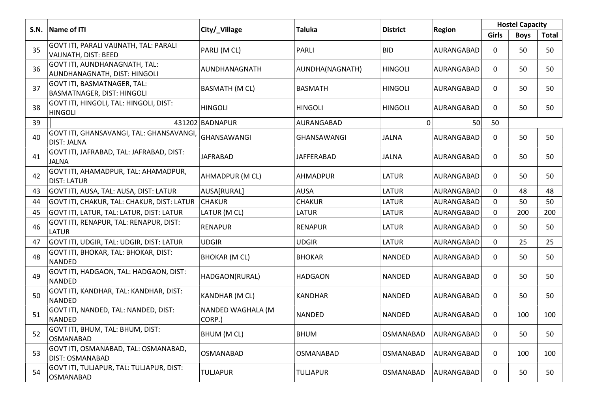| S.N. | Name of ITI                                                    | City/_Village               | Taluka             | <b>District</b>  | <b>Region</b> | <b>Hostel Capacity</b> |             |       |
|------|----------------------------------------------------------------|-----------------------------|--------------------|------------------|---------------|------------------------|-------------|-------|
|      |                                                                |                             |                    |                  |               | Girls                  | <b>Boys</b> | Total |
| 35   | GOVT ITI, PARALI VAIJNATH, TAL: PARALI<br>VAIJNATH, DIST: BEED | PARLI (M CL)                | <b>PARLI</b>       | <b>BID</b>       | AURANGABAD    | $\mathbf{0}$           | 50          | 50    |
| 36   | GOVT ITI, AUNDHANAGNATH, TAL:<br>AUNDHANAGNATH, DIST: HINGOLI  | AUNDHANAGNATH               | AUNDHA(NAGNATH)    | <b>HINGOLI</b>   | AURANGABAD    | $\mathbf 0$            | 50          | 50    |
| 37   | GOVT ITI, BASMATNAGER, TAL:<br>BASMATNAGER, DIST: HINGOLI      | <b>BASMATH (M CL)</b>       | <b>BASMATH</b>     | <b>HINGOLI</b>   | AURANGABAD    | $\Omega$               | 50          | 50    |
| 38   | GOVT ITI, HINGOLI, TAL: HINGOLI, DIST:<br><b>HINGOLI</b>       | HINGOLI                     | <b>HINGOLI</b>     | <b>HINGOLI</b>   | AURANGABAD    | $\Omega$               | 50          | 50    |
| 39   |                                                                | 431202 BADNAPUR             | AURANGABAD         | $\Omega$         | 50            | 50                     |             |       |
| 40   | GOVT ITI, GHANSAVANGI, TAL: GHANSAVANGI,<br><b>DIST: JALNA</b> | GHANSAWANGI                 | <b>GHANSAWANGI</b> | JALNA            | AURANGABAD    | $\mathbf 0$            | 50          | 50    |
| 41   | GOVT ITI, JAFRABAD, TAL: JAFRABAD, DIST:<br>JALNA              | <b>JAFRABAD</b>             | <b>JAFFERABAD</b>  | <b>JALNA</b>     | AURANGABAD    | $\Omega$               | 50          | 50    |
| 42   | GOVT ITI, AHAMADPUR, TAL: AHAMADPUR,<br><b>DIST: LATUR</b>     | AHMADPUR (M CL)             | AHMADPUR           | LATUR            | AURANGABAD    | $\mathbf 0$            | 50          | 50    |
| 43   | GOVT ITI, AUSA, TAL: AUSA, DIST: LATUR                         | AUSA[RURAL]                 | <b>AUSA</b>        | LATUR            | AURANGABAD    | $\Omega$               | 48          | 48    |
| 44   | GOVT ITI, CHAKUR, TAL: CHAKUR, DIST: LATUR                     | <b>CHAKUR</b>               | <b>CHAKUR</b>      | <b>LATUR</b>     | AURANGABAD    | $\mathbf 0$            | 50          | 50    |
| 45   | GOVT ITI, LATUR, TAL: LATUR, DIST: LATUR                       | LATUR (M CL)                | LATUR              | LATUR            | AURANGABAD    | $\mathbf 0$            | 200         | 200   |
| 46   | GOVT ITI, RENAPUR, TAL: RENAPUR, DIST:<br><b>LATUR</b>         | <b>RENAPUR</b>              | <b>RENAPUR</b>     | <b>LATUR</b>     | AURANGABAD    | $\Omega$               | 50          | 50    |
| 47   | GOVT ITI, UDGIR, TAL: UDGIR, DIST: LATUR                       | <b>UDGIR</b>                | <b>UDGIR</b>       | <b>LATUR</b>     | AURANGABAD    | $\mathbf 0$            | 25          | 25    |
| 48   | GOVT ITI, BHOKAR, TAL: BHOKAR, DIST:<br><b>NANDED</b>          | <b>BHOKAR (M CL)</b>        | <b>BHOKAR</b>      | <b>NANDED</b>    | AURANGABAD    | $\Omega$               | 50          | 50    |
| 49   | GOVT ITI, HADGAON, TAL: HADGAON, DIST:<br>NANDED               | HADGAON(RURAL)              | HADGAON            | NANDED           | AURANGABAD    | $\mathbf 0$            | 50          | 50    |
| 50   | GOVT ITI, KANDHAR, TAL: KANDHAR, DIST:<br><b>NANDED</b>        | KANDHAR (M CL)              | KANDHAR            | NANDED           | AURANGABAD    | $\Omega$               | 50          | 50    |
| 51   | GOVT ITI, NANDED, TAL: NANDED, DIST:<br><b>NANDED</b>          | NANDED WAGHALA (M<br>CORP.) | <b>NANDED</b>      | <b>NANDED</b>    | AURANGABAD    | $\mathbf 0$            | 100         | 100   |
| 52   | GOVT ITI, BHUM, TAL: BHUM, DIST:<br><b>OSMANABAD</b>           | BHUM (M CL)                 | <b>BHUM</b>        | <b>OSMANABAD</b> | AURANGABAD    | $\Omega$               | 50          | 50    |
| 53   | GOVT ITI, OSMANABAD, TAL: OSMANABAD,<br>DIST: OSMANABAD        | OSMANABAD                   | OSMANABAD          | OSMANABAD        | AURANGABAD    | $\mathbf 0$            | 100         | 100   |
| 54   | GOVT ITI, TULJAPUR, TAL: TULJAPUR, DIST:<br><b>OSMANABAD</b>   | <b>TULJAPUR</b>             | TULJAPUR           | OSMANABAD        | AURANGABAD    | $\Omega$               | 50          | 50    |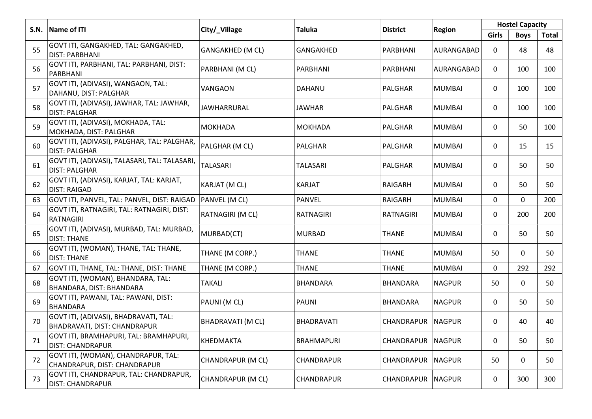|      |                                                                       |                          | <b>Taluka</b>     |                 |               | <b>Hostel Capacity</b> |             |              |
|------|-----------------------------------------------------------------------|--------------------------|-------------------|-----------------|---------------|------------------------|-------------|--------------|
| S.N. | Name of ITI                                                           | City/_Village            |                   | <b>District</b> | <b>Region</b> | Girls                  | <b>Boys</b> | <b>Total</b> |
| 55   | GOVT ITI, GANGAKHED, TAL: GANGAKHED,<br><b>DIST: PARBHANI</b>         | GANGAKHED (M CL)         | GANGAKHED         | PARBHANI        | AURANGABAD    | 0                      | 48          | 48           |
| 56   | GOVT ITI, PARBHANI, TAL: PARBHANI, DIST:<br>PARBHANI                  | PARBHANI (M CL)          | PARBHANI          | PARBHANI        | AURANGABAD    | $\mathbf 0$            | 100         | 100          |
| 57   | GOVT ITI, (ADIVASI), WANGAON, TAL:<br>DAHANU, DIST: PALGHAR           | VANGAON                  | <b>DAHANU</b>     | PALGHAR         | <b>MUMBAI</b> | 0                      | 100         | 100          |
| 58   | GOVT ITI, (ADIVASI), JAWHAR, TAL: JAWHAR,<br><b>DIST: PALGHAR</b>     | JAWHARRURAL              | JAWHAR            | PALGHAR         | <b>MUMBAI</b> | 0                      | 100         | 100          |
| 59   | GOVT ITI, (ADIVASI), MOKHADA, TAL:<br>MOKHADA, DIST: PALGHAR          | <b>MOKHADA</b>           | <b>MOKHADA</b>    | PALGHAR         | <b>MUMBAI</b> | 0                      | 50          | 100          |
| 60   | GOVT ITI, (ADIVASI), PALGHAR, TAL: PALGHAR,<br><b>DIST: PALGHAR</b>   | PALGHAR (M CL)           | PALGHAR           | PALGHAR         | <b>MUMBAI</b> | 0                      | 15          | 15           |
| 61   | GOVT ITI, (ADIVASI), TALASARI, TAL: TALASARI,<br><b>DIST: PALGHAR</b> | <b>TALASARI</b>          | <b>TALASARI</b>   | PALGHAR         | <b>MUMBAI</b> | 0                      | 50          | 50           |
| 62   | GOVT ITI, (ADIVASI), KARJAT, TAL: KARJAT,<br><b>DIST: RAIGAD</b>      | KARJAT (M CL)            | <b>KARJAT</b>     | RAIGARH         | <b>MUMBAI</b> | 0                      | 50          | 50           |
| 63   | GOVT ITI, PANVEL, TAL: PANVEL, DIST: RAIGAD                           | PANVEL (M CL)            | <b>PANVEL</b>     | <b>RAIGARH</b>  | <b>MUMBAI</b> | 0                      | 0           | 200          |
| 64   | GOVT ITI, RATNAGIRI, TAL: RATNAGIRI, DIST:<br><b>RATNAGIRI</b>        | RATNAGIRI (M CL)         | RATNAGIRI         | RATNAGIRI       | <b>MUMBAI</b> | 0                      | 200         | 200          |
| 65   | GOVT ITI, (ADIVASI), MURBAD, TAL: MURBAD,<br><b>DIST: THANE</b>       | MURBAD(CT)               | <b>MURBAD</b>     | <b>THANE</b>    | <b>MUMBAI</b> | 0                      | 50          | 50           |
| 66   | GOVT ITI, (WOMAN), THANE, TAL: THANE,<br><b>DIST: THANE</b>           | THANE (M CORP.)          | <b>THANE</b>      | <b>THANE</b>    | <b>MUMBAI</b> | 50                     | 0           | 50           |
| 67   | GOVT ITI, THANE, TAL: THANE, DIST: THANE                              | THANE (M CORP.)          | <b>THANE</b>      | <b>THANE</b>    | <b>MUMBAI</b> | 0                      | 292         | 292          |
| 68   | GOVT ITI, (WOMAN), BHANDARA, TAL:<br>BHANDARA, DIST: BHANDARA         | TAKALI                   | <b>BHANDARA</b>   | <b>BHANDARA</b> | <b>NAGPUR</b> | 50                     | 0           | 50           |
| 69   | GOVT ITI, PAWANI, TAL: PAWANI, DIST:<br><b>BHANDARA</b>               | PAUNI (M CL)             | <b>PAUNI</b>      | <b>BHANDARA</b> | <b>NAGPUR</b> | 0                      | 50          | 50           |
| 70   | GOVT ITI, (ADIVASI), BHADRAVATI, TAL:<br>BHADRAVATI, DIST: CHANDRAPUR | <b>BHADRAVATI (M CL)</b> | <b>BHADRAVATI</b> | CHANDRAPUR      | NAGPUR        | 0                      | 40          | 40           |
| 71   | GOVT ITI, BRAMHAPURI, TAL: BRAMHAPURI,<br><b>DIST: CHANDRAPUR</b>     | <b>KHEDMAKTA</b>         | <b>BRAHMAPURI</b> | CHANDRAPUR      | NAGPUR        | 0                      | 50          | 50           |
| 72   | GOVT ITI, (WOMAN), CHANDRAPUR, TAL:<br>CHANDRAPUR, DIST: CHANDRAPUR   | CHANDRAPUR (M CL)        | CHANDRAPUR        | CHANDRAPUR      | NAGPUR        | 50                     | 0           | 50           |
| 73   | GOVT ITI, CHANDRAPUR, TAL: CHANDRAPUR,<br>DIST: CHANDRAPUR            | CHANDRAPUR (M CL)        | CHANDRAPUR        | CHANDRAPUR      | <b>NAGPUR</b> | 0                      | 300         | 300          |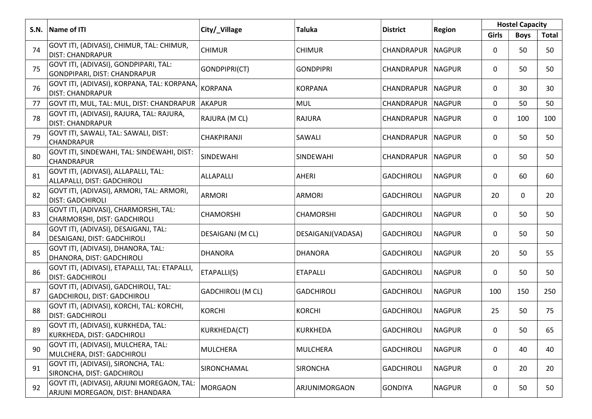|      | Name of ITI                                                                   |                          | Taluka            |                     |               | <b>Hostel Capacity</b> |             |       |  |
|------|-------------------------------------------------------------------------------|--------------------------|-------------------|---------------------|---------------|------------------------|-------------|-------|--|
| S.N. |                                                                               | City/_Village            |                   | <b>District</b>     | <b>Region</b> | <b>Girls</b>           | <b>Boys</b> | Total |  |
| 74   | GOVT ITI, (ADIVASI), CHIMUR, TAL: CHIMUR,<br><b>DIST: CHANDRAPUR</b>          | <b>CHIMUR</b>            | <b>CHIMUR</b>     | CHANDRAPUR          | <b>NAGPUR</b> | 0                      | 50          | 50    |  |
| 75   | GOVT ITI, (ADIVASI), GONDPIPARI, TAL:<br>GONDPIPARI, DIST: CHANDRAPUR         | GONDPIPRI(CT)            | <b>GONDPIPRI</b>  | CHANDRAPUR   NAGPUR |               | 0                      | 50          | 50    |  |
| 76   | GOVT ITI, (ADIVASI), KORPANA, TAL: KORPANA,<br><b>DIST: CHANDRAPUR</b>        | <b>KORPANA</b>           | <b>KORPANA</b>    | CHANDRAPUR          | NAGPUR        | 0                      | 30          | 30    |  |
| 77   | GOVT ITI, MUL, TAL: MUL, DIST: CHANDRAPUR                                     | AKAPUR                   | <b>MUL</b>        | CHANDRAPUR          | NAGPUR        | 0                      | 50          | 50    |  |
| 78   | GOVT ITI, (ADIVASI), RAJURA, TAL: RAJURA,<br><b>DIST: CHANDRAPUR</b>          | RAJURA (M CL)            | <b>RAJURA</b>     | CHANDRAPUR   NAGPUR |               | 0                      | 100         | 100   |  |
| 79   | GOVT ITI, SAWALI, TAL: SAWALI, DIST:<br>CHANDRAPUR                            | CHAKPIRANJI              | <b>SAWALI</b>     | CHANDRAPUR          | NAGPUR        | 0                      | 50          | 50    |  |
| 80   | GOVT ITI, SINDEWAHI, TAL: SINDEWAHI, DIST:<br>CHANDRAPUR                      | SINDEWAHI                | <b>SINDEWAHI</b>  | CHANDRAPUR          | <b>NAGPUR</b> | 0                      | 50          | 50    |  |
| 81   | GOVT ITI, (ADIVASI), ALLAPALLI, TAL:<br>ALLAPALLI, DIST: GADCHIROLI           | <b>ALLAPALLI</b>         | AHERI             | <b>GADCHIROLI</b>   | NAGPUR        | 0                      | 60          | 60    |  |
| 82   | GOVT ITI, (ADIVASI), ARMORI, TAL: ARMORI,<br><b>DIST: GADCHIROLI</b>          | <b>ARMORI</b>            | <b>ARMORI</b>     | <b>GADCHIROLI</b>   | <b>NAGPUR</b> | 20                     | 0           | 20    |  |
| 83   | GOVT ITI, (ADIVASI), CHARMORSHI, TAL:<br>CHARMORSHI, DIST: GADCHIROLI         | <b>CHAMORSHI</b>         | <b>CHAMORSHI</b>  | <b>GADCHIROLI</b>   | <b>NAGPUR</b> | 0                      | 50          | 50    |  |
| 84   | GOVT ITI, (ADIVASI), DESAIGANJ, TAL:<br>DESAIGANJ, DIST: GADCHIROLI           | DESAIGANJ (M CL)         | DESAIGANJ(VADASA) | <b>GADCHIROLI</b>   | NAGPUR        | 0                      | 50          | 50    |  |
| 85   | GOVT ITI, (ADIVASI), DHANORA, TAL:<br>DHANORA, DIST: GADCHIROLI               | <b>DHANORA</b>           | DHANORA           | <b>GADCHIROLI</b>   | <b>NAGPUR</b> | 20                     | 50          | 55    |  |
| 86   | GOVT ITI, (ADIVASI), ETAPALLI, TAL: ETAPALLI,<br><b>DIST: GADCHIROLI</b>      | ETAPALLI(S)              | <b>ETAPALLI</b>   | <b>GADCHIROLI</b>   | <b>NAGPUR</b> | 0                      | 50          | 50    |  |
| 87   | GOVT ITI, (ADIVASI), GADCHIROLI, TAL:<br><b>GADCHIROLI, DIST: GADCHIROLI</b>  | <b>GADCHIROLI (M CL)</b> | <b>GADCHIROLI</b> | <b>GADCHIROLI</b>   | <b>NAGPUR</b> | 100                    | 150         | 250   |  |
| 88   | GOVT ITI, (ADIVASI), KORCHI, TAL: KORCHI,<br><b>DIST: GADCHIROLI</b>          | <b>KORCHI</b>            | <b>KORCHI</b>     | <b>GADCHIROLI</b>   | <b>NAGPUR</b> | 25                     | 50          | 75    |  |
| 89   | GOVT ITI, (ADIVASI), KURKHEDA, TAL:<br>KURKHEDA, DIST: GADCHIROLI             | KURKHEDA(CT)             | KURKHEDA          | <b>GADCHIROLI</b>   | NAGPUR        | 0                      | 50          | 65    |  |
| 90   | GOVT ITI, (ADIVASI), MULCHERA, TAL:<br>MULCHERA, DIST: GADCHIROLI             | <b>MULCHERA</b>          | MULCHERA          | <b>GADCHIROLI</b>   | <b>NAGPUR</b> | 0                      | 40          | 40    |  |
| 91   | GOVT ITI, (ADIVASI), SIRONCHA, TAL:<br>SIRONCHA, DIST: GADCHIROLI             | SIRONCHAMAL              | SIRONCHA          | <b>GADCHIROLI</b>   | <b>NAGPUR</b> | 0                      | 20          | 20    |  |
| 92   | GOVT ITI, (ADIVASI), ARJUNI MOREGAON, TAL:<br>ARJUNI MOREGAON, DIST: BHANDARA | <b>MORGAON</b>           | ARJUNIMORGAON     | GONDIYA             | <b>NAGPUR</b> | 0                      | 50          | 50    |  |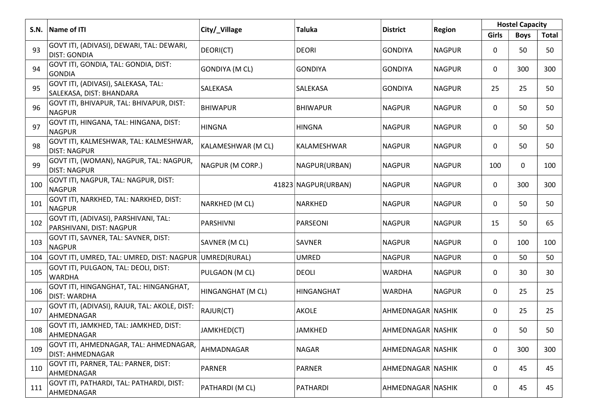|      |                                                                   |                      |                     | <b>Hostel Capacity</b> |               |       |             |       |
|------|-------------------------------------------------------------------|----------------------|---------------------|------------------------|---------------|-------|-------------|-------|
| S.N. | Name of ITI                                                       | City/_Village        | <b>Taluka</b>       | <b>District</b>        | <b>Region</b> | Girls | <b>Boys</b> | Total |
| 93   | GOVT ITI, (ADIVASI), DEWARI, TAL: DEWARI,<br><b>DIST: GONDIA</b>  | DEORI(CT)            | <b>DEORI</b>        | <b>GONDIYA</b>         | <b>NAGPUR</b> | 0     | 50          | 50    |
| 94   | GOVT ITI, GONDIA, TAL: GONDIA, DIST:<br><b>GONDIA</b>             | <b>GONDIYA (MCL)</b> | <b>GONDIYA</b>      | <b>GONDIYA</b>         | <b>NAGPUR</b> | 0     | 300         | 300   |
| 95   | GOVT ITI, (ADIVASI), SALEKASA, TAL:<br>SALEKASA, DIST: BHANDARA   | <b>SALEKASA</b>      | SALEKASA            | <b>GONDIYA</b>         | <b>NAGPUR</b> | 25    | 25          | 50    |
| 96   | GOVT ITI, BHIVAPUR, TAL: BHIVAPUR, DIST:<br><b>NAGPUR</b>         | <b>BHIWAPUR</b>      | <b>BHIWAPUR</b>     | <b>NAGPUR</b>          | <b>NAGPUR</b> | 0     | 50          | 50    |
| 97   | GOVT ITI, HINGANA, TAL: HINGANA, DIST:<br><b>NAGPUR</b>           | <b>HINGNA</b>        | <b>HINGNA</b>       | <b>NAGPUR</b>          | <b>NAGPUR</b> | 0     | 50          | 50    |
| 98   | GOVT ITI, KALMESHWAR, TAL: KALMESHWAR,<br><b>DIST: NAGPUR</b>     | KALAMESHWAR (M CL)   | KALAMESHWAR         | <b>NAGPUR</b>          | <b>NAGPUR</b> | 0     | 50          | 50    |
| 99   | GOVT ITI, (WOMAN), NAGPUR, TAL: NAGPUR,<br><b>DIST: NAGPUR</b>    | NAGPUR (M CORP.)     | NAGPUR(URBAN)       | <b>NAGPUR</b>          | <b>NAGPUR</b> | 100   | 0           | 100   |
| 100  | GOVT ITI, NAGPUR, TAL: NAGPUR, DIST:<br><b>NAGPUR</b>             |                      | 41823 NAGPUR(URBAN) | <b>NAGPUR</b>          | <b>NAGPUR</b> | 0     | 300         | 300   |
| 101  | GOVT ITI, NARKHED, TAL: NARKHED, DIST:<br><b>NAGPUR</b>           | NARKHED (M CL)       | <b>NARKHED</b>      | <b>NAGPUR</b>          | <b>NAGPUR</b> | 0     | 50          | 50    |
| 102  | GOVT ITI, (ADIVASI), PARSHIVANI, TAL:<br>PARSHIVANI, DIST: NAGPUR | <b>PARSHIVNI</b>     | <b>PARSEONI</b>     | <b>NAGPUR</b>          | <b>NAGPUR</b> | 15    | 50          | 65    |
| 103  | GOVT ITI, SAVNER, TAL: SAVNER, DIST:<br><b>NAGPUR</b>             | SAVNER (M CL)        | SAVNER              | <b>NAGPUR</b>          | <b>NAGPUR</b> | 0     | 100         | 100   |
| 104  | GOVT ITI, UMRED, TAL: UMRED, DIST: NAGPUR  UMRED(RURAL)           |                      | <b>UMRED</b>        | <b>NAGPUR</b>          | <b>NAGPUR</b> | 0     | 50          | 50    |
| 105  | GOVT ITI, PULGAON, TAL: DEOLI, DIST:<br><b>WARDHA</b>             | PULGAON (M CL)       | <b>DEOLI</b>        | <b>WARDHA</b>          | <b>NAGPUR</b> | 0     | 30          | 30    |
| 106  | GOVT ITI, HINGANGHAT, TAL: HINGANGHAT,<br><b>DIST: WARDHA</b>     | HINGANGHAT (M CL)    | <b>HINGANGHAT</b>   | <b>WARDHA</b>          | <b>NAGPUR</b> | 0     | 25          | 25    |
| 107  | GOVT ITI, (ADIVASI), RAJUR, TAL: AKOLE, DIST:<br>AHMEDNAGAR       | RAJUR(CT)            | <b>AKOLE</b>        | AHMEDNAGAR NASHIK      |               | 0     | 25          | 25    |
| 108  | GOVT ITI, JAMKHED, TAL: JAMKHED, DIST:<br>AHMEDNAGAR              | JAMKHED(CT)          | <b>JAMKHED</b>      | AHMEDNAGAR NASHIK      |               | 0     | 50          | 50    |
| 109  | GOVT ITI, AHMEDNAGAR, TAL: AHMEDNAGAR,<br>DIST: AHMEDNAGAR        | AHMADNAGAR           | <b>NAGAR</b>        | AHMEDNAGAR NASHIK      |               | 0     | 300         | 300   |
| 110  | GOVT ITI, PARNER, TAL: PARNER, DIST:<br>AHMEDNAGAR                | <b>PARNER</b>        | <b>PARNER</b>       | AHMEDNAGAR NASHIK      |               | 0     | 45          | 45    |
| 111  | GOVT ITI, PATHARDI, TAL: PATHARDI, DIST:<br>AHMEDNAGAR            | PATHARDI (M CL)      | PATHARDI            | AHMEDNAGAR NASHIK      |               | 0     | 45          | 45    |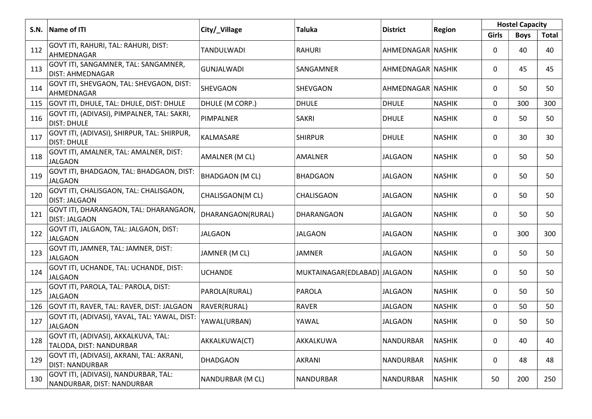|      | Name of ITI                                                         |                        | <b>Taluka</b>                |                   |               | <b>Hostel Capacity</b> |             |              |
|------|---------------------------------------------------------------------|------------------------|------------------------------|-------------------|---------------|------------------------|-------------|--------------|
| S.N. |                                                                     | City/_Village          |                              | <b>District</b>   | <b>Region</b> | Girls                  | <b>Boys</b> | <b>Total</b> |
| 112  | GOVT ITI, RAHURI, TAL: RAHURI, DIST:<br>AHMEDNAGAR                  | TANDULWADI             | <b>RAHURI</b>                | AHMEDNAGAR NASHIK |               | 0                      | 40          | 40           |
| 113  | GOVT ITI, SANGAMNER, TAL: SANGAMNER,<br><b>DIST: AHMEDNAGAR</b>     | <b>GUNJALWADI</b>      | SANGAMNER                    | AHMEDNAGAR NASHIK |               | 0                      | 45          | 45           |
| 114  | GOVT ITI, SHEVGAON, TAL: SHEVGAON, DIST:<br>AHMEDNAGAR              | <b>SHEVGAON</b>        | SHEVGAON                     | AHMEDNAGAR NASHIK |               | 0                      | 50          | 50           |
| 115  | GOVT ITI, DHULE, TAL: DHULE, DIST: DHULE                            | DHULE (M CORP.)        | <b>DHULE</b>                 | <b>DHULE</b>      | <b>NASHIK</b> | 0                      | 300         | 300          |
| 116  | GOVT ITI, (ADIVASI), PIMPALNER, TAL: SAKRI,<br><b>DIST: DHULE</b>   | PIMPALNER              | <b>SAKRI</b>                 | <b>DHULE</b>      | <b>NASHIK</b> | 0                      | 50          | 50           |
| 117  | GOVT ITI, (ADIVASI), SHIRPUR, TAL: SHIRPUR,<br><b>DIST: DHULE</b>   | KALMASARE              | <b>SHIRPUR</b>               | <b>DHULE</b>      | <b>NASHIK</b> | 0                      | 30          | 30           |
| 118  | GOVT ITI, AMALNER, TAL: AMALNER, DIST:<br><b>JALGAON</b>            | AMALNER (M CL)         | AMALNER                      | <b>JALGAON</b>    | <b>NASHIK</b> | 0                      | 50          | 50           |
| 119  | GOVT ITI, BHADGAON, TAL: BHADGAON, DIST:<br><b>JALGAON</b>          | <b>BHADGAON (M CL)</b> | <b>BHADGAON</b>              | JALGAON           | <b>NASHIK</b> | 0                      | 50          | 50           |
| 120  | GOVT ITI, CHALISGAON, TAL: CHALISGAON,<br><b>DIST: JALGAON</b>      | CHALISGAON(M CL)       | CHALISGAON                   | <b>JALGAON</b>    | <b>NASHIK</b> | 0                      | 50          | 50           |
| 121  | GOVT ITI, DHARANGAON, TAL: DHARANGAON,<br><b>DIST: JALGAON</b>      | DHARANGAON(RURAL)      | DHARANGAON                   | <b>JALGAON</b>    | <b>NASHIK</b> | 0                      | 50          | 50           |
| 122  | GOVT ITI, JALGAON, TAL: JALGAON, DIST:<br><b>JALGAON</b>            | <b>JALGAON</b>         | <b>JALGAON</b>               | <b>JALGAON</b>    | <b>NASHIK</b> | 0                      | 300         | 300          |
| 123  | GOVT ITI, JAMNER, TAL: JAMNER, DIST:<br><b>JALGAON</b>              | JAMNER (M CL)          | JAMNER                       | <b>JALGAON</b>    | <b>NASHIK</b> | 0                      | 50          | 50           |
| 124  | GOVT ITI, UCHANDE, TAL: UCHANDE, DIST:<br><b>JALGAON</b>            | <b>UCHANDE</b>         | MUKTAINAGAR(EDLABAD) JALGAON |                   | <b>NASHIK</b> | 0                      | 50          | 50           |
| 125  | GOVT ITI, PAROLA, TAL: PAROLA, DIST:<br><b>JALGAON</b>              | PAROLA(RURAL)          | PAROLA                       | <b>JALGAON</b>    | <b>NASHIK</b> | 0                      | 50          | 50           |
| 126  | GOVT ITI, RAVER, TAL: RAVER, DIST: JALGAON                          | RAVER(RURAL)           | <b>RAVER</b>                 | <b>JALGAON</b>    | <b>NASHIK</b> | 0                      | 50          | 50           |
| 127  | GOVT ITI, (ADIVASI), YAVAL, TAL: YAWAL, DIST:<br><b>JALGAON</b>     | YAWAL(URBAN)           | YAWAL                        | <b>JALGAON</b>    | <b>NASHIK</b> | 0                      | 50          | 50           |
| 128  | GOVT ITI, (ADIVASI), AKKALKUVA, TAL:<br>TALODA, DIST: NANDURBAR     | AKKALKUWA(CT)          | AKKALKUWA                    | NANDURBAR         | <b>NASHIK</b> | 0                      | 40          | 40           |
| 129  | GOVT ITI, (ADIVASI), AKRANI, TAL: AKRANI,<br><b>DIST: NANDURBAR</b> | <b>DHADGAON</b>        | AKRANI                       | NANDURBAR         | <b>NASHIK</b> | 0                      | 48          | 48           |
| 130  | GOVT ITI, (ADIVASI), NANDURBAR, TAL:<br>NANDURBAR, DIST: NANDURBAR  | NANDURBAR (M CL)       | NANDURBAR                    | <b>NANDURBAR</b>  | <b>NASHIK</b> | 50                     | 200         | 250          |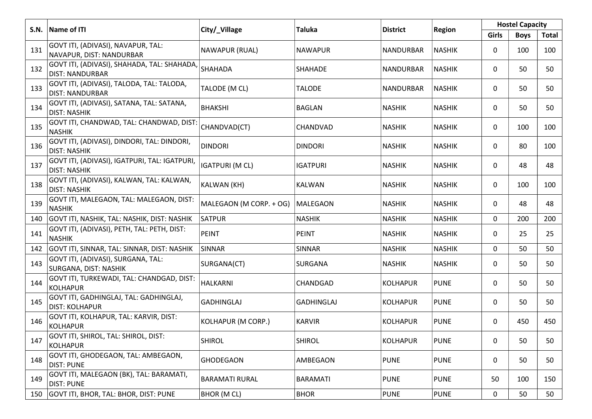|     |                                                                       |                         | <b>Hostel Capacity</b> |                  |               |       |             |       |
|-----|-----------------------------------------------------------------------|-------------------------|------------------------|------------------|---------------|-------|-------------|-------|
|     | S.N. Name of ITI                                                      | City/_Village           | <b>Taluka</b>          | <b>District</b>  | <b>Region</b> | Girls | <b>Boys</b> | Total |
| 131 | GOVT ITI, (ADIVASI), NAVAPUR, TAL:<br>NAVAPUR, DIST: NANDURBAR        | NAWAPUR (RUAL)          | <b>NAWAPUR</b>         | NANDURBAR        | <b>NASHIK</b> | 0     | 100         | 100   |
| 132 | GOVT ITI, (ADIVASI), SHAHADA, TAL: SHAHADA,<br><b>DIST: NANDURBAR</b> | SHAHADA                 | SHAHADE                | <b>NANDURBAR</b> | <b>NASHIK</b> | 0     | 50          | 50    |
| 133 | GOVT ITI, (ADIVASI), TALODA, TAL: TALODA,<br><b>DIST: NANDURBAR</b>   | TALODE (M CL)           | <b>TALODE</b>          | NANDURBAR        | <b>NASHIK</b> | 0     | 50          | 50    |
| 134 | GOVT ITI, (ADIVASI), SATANA, TAL: SATANA,<br><b>DIST: NASHIK</b>      | <b>BHAKSHI</b>          | <b>BAGLAN</b>          | <b>NASHIK</b>    | <b>NASHIK</b> | 0     | 50          | 50    |
| 135 | GOVT ITI, CHANDWAD, TAL: CHANDWAD, DIST:<br><b>NASHIK</b>             | CHANDVAD(CT)            | CHANDVAD               | <b>NASHIK</b>    | <b>NASHIK</b> | 0     | 100         | 100   |
| 136 | GOVT ITI, (ADIVASI), DINDORI, TAL: DINDORI,<br><b>DIST: NASHIK</b>    | <b>DINDORI</b>          | <b>DINDORI</b>         | <b>NASHIK</b>    | <b>NASHIK</b> | 0     | 80          | 100   |
| 137 | GOVT ITI, (ADIVASI), IGATPURI, TAL: IGATPURI,<br><b>DIST: NASHIK</b>  | <b>IGATPURI (M CL)</b>  | <b>IGATPURI</b>        | <b>NASHIK</b>    | <b>NASHIK</b> | 0     | 48          | 48    |
| 138 | GOVT ITI, (ADIVASI), KALWAN, TAL: KALWAN,<br><b>DIST: NASHIK</b>      | KALWAN (KH)             | <b>KALWAN</b>          | <b>NASHIK</b>    | <b>NASHIK</b> | 0     | 100         | 100   |
| 139 | GOVT ITI, MALEGAON, TAL: MALEGAON, DIST:<br><b>NASHIK</b>             | MALEGAON (M CORP. + OG) | MALEGAON               | <b>NASHIK</b>    | <b>NASHIK</b> | 0     | 48          | 48    |
| 140 | GOVT ITI, NASHIK, TAL: NASHIK, DIST: NASHIK                           | <b>SATPUR</b>           | <b>NASHIK</b>          | <b>NASHIK</b>    | <b>NASHIK</b> | 0     | 200         | 200   |
| 141 | GOVT ITI, (ADIVASI), PETH, TAL: PETH, DIST:<br><b>NASHIK</b>          | <b>PEINT</b>            | <b>PEINT</b>           | <b>NASHIK</b>    | <b>NASHIK</b> | 0     | 25          | 25    |
| 142 | GOVT ITI, SINNAR, TAL: SINNAR, DIST: NASHIK                           | <b>SINNAR</b>           | <b>SINNAR</b>          | <b>NASHIK</b>    | <b>NASHIK</b> | 0     | 50          | 50    |
| 143 | GOVT ITI, (ADIVASI), SURGANA, TAL:<br>SURGANA, DIST: NASHIK           | SURGANA(CT)             | SURGANA                | <b>NASHIK</b>    | <b>NASHIK</b> | 0     | 50          | 50    |
| 144 | GOVT ITI, TURKEWADI, TAL: CHANDGAD, DIST:<br><b>KOLHAPUR</b>          | HALKARNI                | CHANDGAD               | <b>KOLHAPUR</b>  | <b>PUNE</b>   | 0     | 50          | 50    |
| 145 | GOVT ITI, GADHINGLAJ, TAL: GADHINGLAJ,<br><b>DIST: KOLHAPUR</b>       | <b>GADHINGLAJ</b>       | <b>GADHINGLAJ</b>      | <b>KOLHAPUR</b>  | <b>PUNE</b>   | 0     | 50          | 50    |
| 146 | GOVT ITI, KOLHAPUR, TAL: KARVIR, DIST:<br><b>KOLHAPUR</b>             | KOLHAPUR (M CORP.)      | <b>KARVIR</b>          | <b>KOLHAPUR</b>  | <b>PUNE</b>   | 0     | 450         | 450   |
| 147 | GOVT ITI, SHIROL, TAL: SHIROL, DIST:<br><b>KOLHAPUR</b>               | <b>SHIROL</b>           | <b>SHIROL</b>          | <b>KOLHAPUR</b>  | <b>PUNE</b>   | 0     | 50          | 50    |
| 148 | GOVT ITI, GHODEGAON, TAL: AMBEGAON,<br><b>DIST: PUNE</b>              | <b>GHODEGAON</b>        | AMBEGAON               | <b>PUNE</b>      | <b>PUNE</b>   | 0     | 50          | 50    |
| 149 | GOVT ITI, MALEGAON (BK), TAL: BARAMATI,<br><b>DIST: PUNE</b>          | <b>BARAMATI RURAL</b>   | <b>BARAMATI</b>        | <b>PUNE</b>      | <b>PUNE</b>   | 50    | 100         | 150   |
| 150 | GOVT ITI, BHOR, TAL: BHOR, DIST: PUNE                                 | <b>BHOR (M CL)</b>      | <b>BHOR</b>            | <b>PUNE</b>      | <b>PUNE</b>   | 0     | 50          | 50    |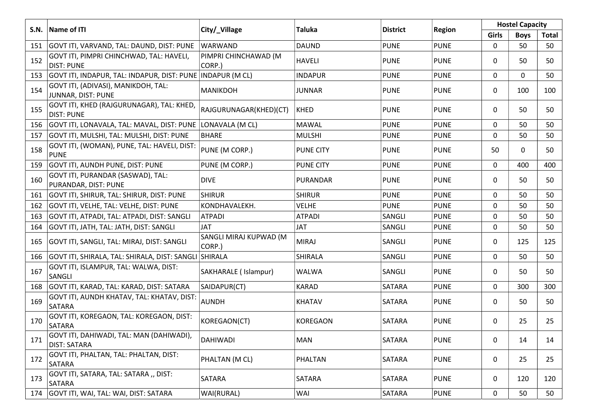|      |                                                                 |                                  |                  |                 |               | <b>Hostel Capacity</b> |             |       |
|------|-----------------------------------------------------------------|----------------------------------|------------------|-----------------|---------------|------------------------|-------------|-------|
| S.N. | Name of ITI                                                     | City/_Village                    | <b>Taluka</b>    | <b>District</b> | <b>Region</b> | <b>Girls</b>           | <b>Boys</b> | Total |
| 151  | GOVT ITI, VARVAND, TAL: DAUND, DIST: PUNE                       | WARWAND                          | <b>DAUND</b>     | <b>PUNE</b>     | <b>PUNE</b>   | 0                      | 50          | 50    |
| 152  | GOVT ITI, PIMPRI CHINCHWAD, TAL: HAVELI,<br><b>DIST: PUNE</b>   | PIMPRI CHINCHAWAD (M<br>CORP.)   | <b>HAVELI</b>    | <b>PUNE</b>     | <b>PUNE</b>   | 0                      | 50          | 50    |
| 153  | GOVT ITI, INDAPUR, TAL: INDAPUR, DIST: PUNE INDAPUR (M CL)      |                                  | <b>INDAPUR</b>   | <b>PUNE</b>     | <b>PUNE</b>   | 0                      | 0           | 50    |
| 154  | GOVT ITI, (ADIVASI), MANIKDOH, TAL:<br>JUNNAR, DIST: PUNE       | MANIKDOH                         | <b>JUNNAR</b>    | <b>PUNE</b>     | <b>PUNE</b>   | 0                      | 100         | 100   |
| 155  | GOVT ITI, KHED (RAJGURUNAGAR), TAL: KHED,<br><b>DIST: PUNE</b>  | RAJGURUNAGAR(KHED)(CT)           | <b>KHED</b>      | <b>PUNE</b>     | <b>PUNE</b>   | $\mathbf{0}$           | 50          | 50    |
|      | 156 GOVT ITI, LONAVALA, TAL: MAVAL, DIST: PUNE                  | LONAVALA (M CL)                  | <b>MAWAL</b>     | <b>PUNE</b>     | <b>PUNE</b>   | 0                      | 50          | 50    |
| 157  | GOVT ITI, MULSHI, TAL: MULSHI, DIST: PUNE                       | <b>BHARE</b>                     | <b>MULSHI</b>    | <b>PUNE</b>     | <b>PUNE</b>   | $\Omega$               | 50          | 50    |
| 158  | GOVT ITI, (WOMAN), PUNE, TAL: HAVELI, DIST:<br><b>PUNE</b>      | PUNE (M CORP.)                   | <b>PUNE CITY</b> | <b>PUNE</b>     | <b>PUNE</b>   | 50                     | 0           | 50    |
| 159  | GOVT ITI, AUNDH PUNE, DIST: PUNE                                | PUNE (M CORP.)                   | <b>PUNE CITY</b> | <b>PUNE</b>     | <b>PUNE</b>   | $\mathbf{0}$           | 400         | 400   |
| 160  | GOVT ITI, PURANDAR (SASWAD), TAL:<br>PURANDAR, DIST: PUNE       | <b>DIVE</b>                      | PURANDAR         | <b>PUNE</b>     | <b>PUNE</b>   | 0                      | 50          | 50    |
| 161  | GOVT ITI, SHIRUR, TAL: SHIRUR, DIST: PUNE                       | <b>SHIRUR</b>                    | <b>SHIRUR</b>    | <b>PUNE</b>     | <b>PUNE</b>   | $\mathbf 0$            | 50          | 50    |
| 162  | GOVT ITI, VELHE, TAL: VELHE, DIST: PUNE                         | KONDHAVALEKH.                    | <b>VELHE</b>     | <b>PUNE</b>     | <b>PUNE</b>   | 0                      | 50          | 50    |
| 163  | GOVT ITI, ATPADI, TAL: ATPADI, DIST: SANGLI                     | <b>ATPADI</b>                    | <b>ATPADI</b>    | SANGLI          | <b>PUNE</b>   | $\mathbf 0$            | 50          | 50    |
| 164  | GOVT ITI, JATH, TAL: JATH, DIST: SANGLI                         | <b>JAT</b>                       | <b>JAT</b>       | SANGLI          | <b>PUNE</b>   | 0                      | 50          | 50    |
| 165  | GOVT ITI, SANGLI, TAL: MIRAJ, DIST: SANGLI                      | SANGLI MIRAJ KUPWAD (M<br>CORP.) | <b>MIRAJ</b>     | SANGLI          | <b>PUNE</b>   | 0                      | 125         | 125   |
| 166  | GOVT ITI, SHIRALA, TAL: SHIRALA, DIST: SANGLI                   | <b>SHIRALA</b>                   | <b>SHIRALA</b>   | SANGLI          | <b>PUNE</b>   | 0                      | 50          | 50    |
| 167  | GOVT ITI, ISLAMPUR, TAL: WALWA, DIST:<br>SANGLI                 | SAKHARALE (Islampur)             | <b>WALWA</b>     | SANGLI          | <b>PUNE</b>   | 0                      | 50          | 50    |
| 168  | GOVT ITI, KARAD, TAL: KARAD, DIST: SATARA                       | SAIDAPUR(CT)                     | <b>KARAD</b>     | SATARA          | <b>PUNE</b>   | 0                      | 300         | 300   |
| 169  | GOVT ITI, AUNDH KHATAV, TAL: KHATAV, DIST:<br><b>SATARA</b>     | <b>AUNDH</b>                     | <b>KHATAV</b>    | SATARA          | <b>PUNE</b>   | 0                      | 50          | 50    |
| 170  | GOVT ITI, KOREGAON, TAL: KOREGAON, DIST:<br><b>SATARA</b>       | KOREGAON(CT)                     | <b>KOREGAON</b>  | SATARA          | <b>PUNE</b>   | 0                      | 25          | 25    |
| 171  | GOVT ITI, DAHIWADI, TAL: MAN (DAHIWADI),<br><b>DIST: SATARA</b> | DAHIWADI                         | <b>MAN</b>       | SATARA          | <b>PUNE</b>   | 0                      | 14          | 14    |
| 172  | GOVT ITI, PHALTAN, TAL: PHALTAN, DIST:<br>SATARA                | PHALTAN (M CL)                   | PHALTAN          | SATARA          | <b>PUNE</b>   | 0                      | 25          | 25    |
| 173  | GOVT ITI, SATARA, TAL: SATARA,, DIST:<br><b>SATARA</b>          | SATARA                           | SATARA           | SATARA          | <b>PUNE</b>   | 0                      | 120         | 120   |
| 174  | GOVT ITI, WAI, TAL: WAI, DIST: SATARA                           | WAI(RURAL)                       | WAI              | SATARA          | <b>PUNE</b>   | 0                      | 50          | 50    |